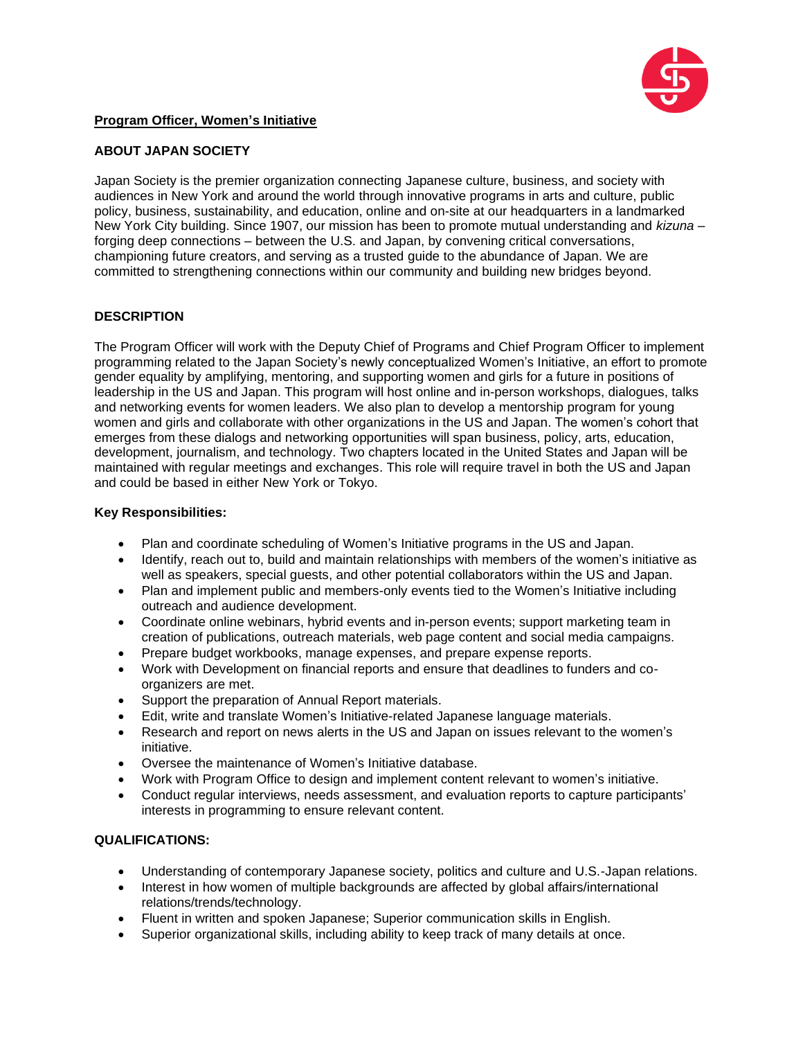

### **Program Officer, Women's Initiative**

## **ABOUT JAPAN SOCIETY**

Japan Society is the premier organization connecting Japanese culture, business, and society with audiences in New York and around the world through innovative programs in arts and culture, public policy, business, sustainability, and education, online and on-site at our headquarters in a landmarked New York City building. Since 1907, our mission has been to promote mutual understanding and *kizuna* – forging deep connections – between the U.S. and Japan, by convening critical conversations, championing future creators, and serving as a trusted guide to the abundance of Japan. We are committed to strengthening connections within our community and building new bridges beyond.

## **DESCRIPTION**

The Program Officer will work with the Deputy Chief of Programs and Chief Program Officer to implement programming related to the Japan Society's newly conceptualized Women's Initiative, an effort to promote gender equality by amplifying, mentoring, and supporting women and girls for a future in positions of leadership in the US and Japan. This program will host online and in-person workshops, dialogues, talks and networking events for women leaders. We also plan to develop a mentorship program for young women and girls and collaborate with other organizations in the US and Japan. The women's cohort that emerges from these dialogs and networking opportunities will span business, policy, arts, education, development, journalism, and technology. Two chapters located in the United States and Japan will be maintained with regular meetings and exchanges. This role will require travel in both the US and Japan and could be based in either New York or Tokyo.

### **Key Responsibilities:**

- Plan and coordinate scheduling of Women's Initiative programs in the US and Japan.
- Identify, reach out to, build and maintain relationships with members of the women's initiative as well as speakers, special guests, and other potential collaborators within the US and Japan.
- Plan and implement public and members-only events tied to the Women's Initiative including outreach and audience development.
- Coordinate online webinars, hybrid events and in-person events; support marketing team in creation of publications, outreach materials, web page content and social media campaigns.
- Prepare budget workbooks, manage expenses, and prepare expense reports.
- Work with Development on financial reports and ensure that deadlines to funders and coorganizers are met.
- Support the preparation of Annual Report materials.
- Edit, write and translate Women's Initiative-related Japanese language materials.
- Research and report on news alerts in the US and Japan on issues relevant to the women's initiative.
- Oversee the maintenance of Women's Initiative database.
- Work with Program Office to design and implement content relevant to women's initiative.
- Conduct regular interviews, needs assessment, and evaluation reports to capture participants' interests in programming to ensure relevant content.

# **QUALIFICATIONS:**

- Understanding of contemporary Japanese society, politics and culture and U.S.-Japan relations.
- Interest in how women of multiple backgrounds are affected by global affairs/international relations/trends/technology.
- Fluent in written and spoken Japanese; Superior communication skills in English.
- Superior organizational skills, including ability to keep track of many details at once.